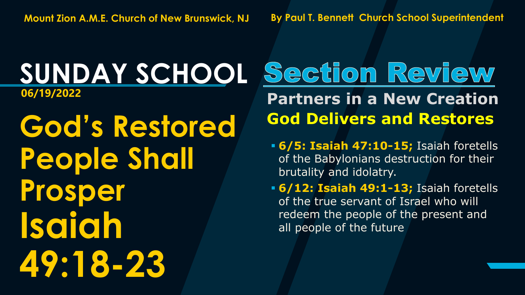# **SUNDAY SCHOOL**

**God's Restored People Shall Prosper Isaiah 49:18-23**

#### Section Review **06/19/2022 Partners in a New Creation God Delivers and Restores**

- **6/5: Isaiah 47:10-15;** Isaiah foretells of the Babylonians destruction for their brutality and idolatry.
- **6/12: Isaiah 49:1-13;** Isaiah foretells of the true servant of Israel who will redeem the people of the present and all people of the future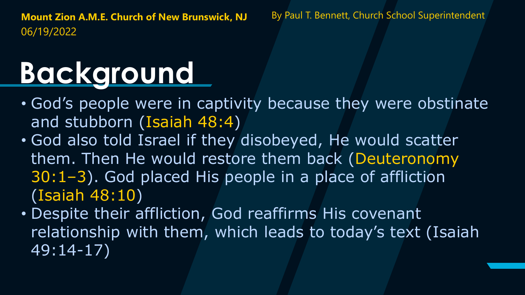## **Background**

- God's people were in captivity because they were obstinate and stubborn (Isaiah 48:4)
- God also told Israel if they disobeyed, He would scatter them. Then He would restore them back (Deuteronomy 30:1–3). God placed His people in a place of affliction (Isaiah 48:10)
- Despite their affliction, God reaffirms His covenant relationship with them, which leads to today's text (Isaiah 49:14-17)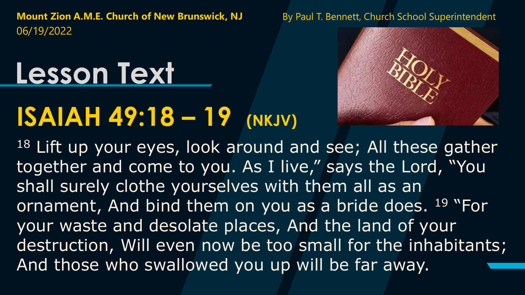## **Lesson Text**

## **ISAIAH 49:18 – 19 (NKJV)**



<sup>18</sup> Lift up your eyes, look around and see; All these gather together and come to you. As I live," says the Lord, "You shall surely clothe yourselves with them all as an ornament, And bind them on you as a bride does. <sup>19</sup> "For your waste and desolate places, And the land of your destruction, Will even now be too small for the inhabitants; And those who swallowed you up will be far away.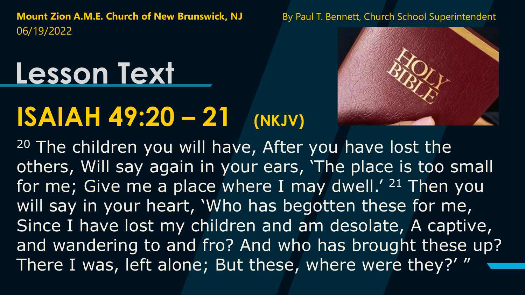## **Lesson Text**

## **ISAIAH 49:20 – 21 (NKJV)**



<sup>20</sup> The children you will have, After you have lost the others, Will say again in your ears, 'The place is too small for me; Give me a place where I may dwell.' <sup>21</sup> Then you will say in your heart, 'Who has begotten these for me, Since I have lost my children and am desolate, A captive, and wandering to and fro? And who has brought these up? There I was, left alone; But these, where were they?' "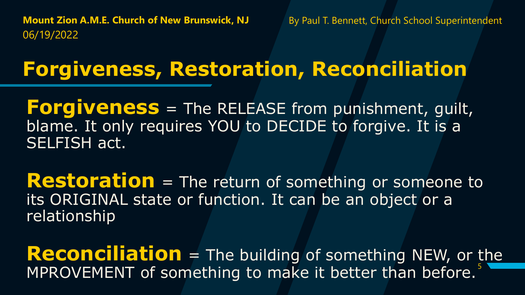#### **Forgiveness, Restoration, Reconciliation**

**Forgiveness** = The RELEASE from punishment, guilt, blame. It only requires YOU to DECIDE to forgive. It is a SELFISH act.

**Restoration** = The return of something or someone to its ORIGINAL state or function. It can be an object or a relationship

MPROVEMENT of something to make it better than before.<sup>5</sup> **Reconciliation** = The building of something NEW, or the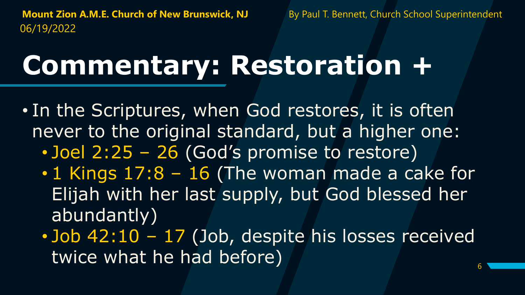## **Commentary: Restoration +**

- In the Scriptures, when God restores, it is often never to the original standard, but a higher one:
	- Joel 2:25 26 (God's promise to restore)
	- 1 Kings 17:8 16 (The woman made a cake for Elijah with her last supply, but God blessed her abundantly)
	- Job 42:10 17 (Job, despite his losses received twice what he had before)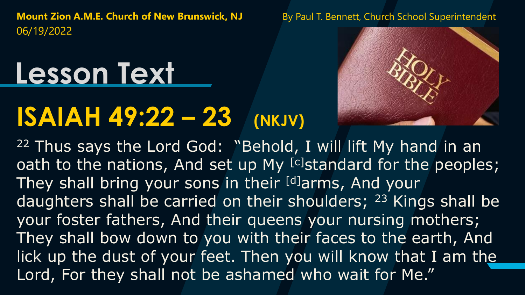## **Lesson Text**

#### **ISAIAH 49:22 – 23 (NKJV)**



<sup>22</sup> Thus says the Lord God: "Behold, I will lift My hand in an oath to the nations, And set up My [c]standard for the peoples; They shall bring your sons in their [d]arms, And your daughters shall be carried on their shoulders; <sup>23</sup> Kings shall be your foster fathers, And their queens your nursing mothers; They shall bow down to you with their faces to the earth, And lick up the dust of your feet. Then you will know that I am the Lord, For they shall not be ashamed who wait for Me."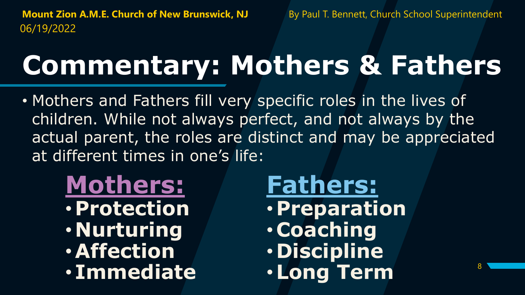8

## **Commentary: Mothers & Fathers**

- Mothers and Fathers fill very specific roles in the lives of children. While not always perfect, and not always by the actual parent, the roles are distinct and may be appreciated at different times in one's life:
	- **Mothers:** • **Protection** • **Nurturing** •**Affection** • **Immediate**

**Fathers:** • **Preparation** • **Coaching** • **Discipline** •**Long Term**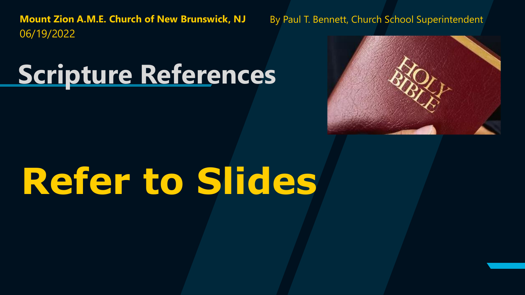#### **Scripture References**



# **Refer to Slides**